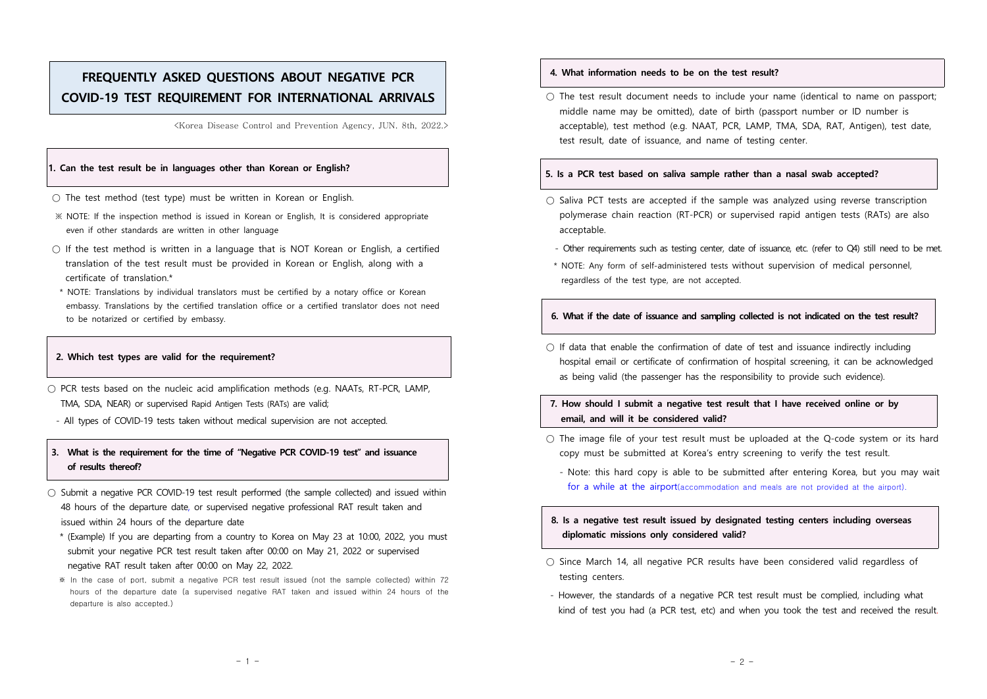# **FREQUENTLY ASKED QUESTIONS ABOUT NEGATIVE PCR COVID-19 TEST REQUIREMENT FOR INTERNATIONAL ARRIVALS**

<Korea Disease Control and Prevention Agency, JUN. 8th, 2022.>

#### **1. Can the test result be in languages other than Korean or English?**

- $\bigcirc$  The test method (test type) must be written in Korean or English.
- ※ NOTE: If the inspection method is issued in Korean or English, It is considered appropriate even if other standards are written in other language
- $\bigcirc$  If the test method is written in a language that is NOT Korean or English, a certified translation of the test result must be provided in Korean or English, along with a certificate of translation.\*
- \* NOTE: Translations by individual translators must be certified by a notary office or Korean embassy. Translations by the certified translation office or a certified translator does not need to be notarized or certified by embassy.

#### **2. Which test types are valid for the requirement?**

- $\bigcirc$  PCR tests based on the nucleic acid amplification methods (e.g. NAATs, RT-PCR, LAMP, TMA, SDA, NEAR) or supervised Rapid Antigen Tests (RATs) are valid;
- All types of COVID-19 tests taken without medical supervision are not accepted.

## **3. What is the requirement for the time of "Negative PCR COVID-19 test" and issuance of results thereof?**

- Submit a negative PCR COVID-19 test result performed (the sample collected) and issued within 48 hours of the departure date, or supervised negative professional RAT result taken and issued within 24 hours of the departure date
	- \* (Example) If you are departing from a country to Korea on May 23 at 10:00, 2022, you must submit your negative PCR test result taken after 00:00 on May 21, 2022 or supervised negative RAT result taken after 00:00 on May 22, 2022.
	- ※ In the case of port, submit a negative PCR test result issued (not the sample collected) within 72 hours of the departure date (a supervised negative RAT taken and issued within 24 hours of the departure is also accepted.)

#### **4. What information needs to be on the test result?**

 $\bigcirc$  The test result document needs to include your name (identical to name on passport; middle name may be omitted), date of birth (passport number or ID number is acceptable), test method (e.g. NAAT, PCR, LAMP, TMA, SDA, RAT, Antigen), test date, test result, date of issuance, and name of testing center.

#### **5. Is a PCR test based on saliva sample rather than a nasal swab accepted?**

- $\bigcirc$  Saliva PCT tests are accepted if the sample was analyzed using reverse transcription polymerase chain reaction (RT-PCR) or supervised rapid antigen tests (RATs) are also acceptable.
	- Other requirements such as testing center, date of issuance, etc. (refer to Q4) still need to be met.
- \* NOTE: Any form of self-administered tests without supervision of medical personnel, regardless of the test type, are not accepted.

### **6. What if the date of issuance and sampling collected is not indicated on the test result?**

 $\bigcirc$  If data that enable the confirmation of date of test and issuance indirectly including hospital email or certificate of confirmation of hospital screening, it can be acknowledged as being valid (the passenger has the responsibility to provide such evidence).

### **7. How should I submit a negative test result that I have received online or by email, and will it be considered valid?**

- $\bigcirc$  The image file of your test result must be uploaded at the Q-code system or its hard copy must be submitted at Korea's entry screening to verify the test result.
	- Note: this hard copy is able to be submitted after entering Korea, but you may wait for a while at the airport(accommodation and meals are not provided at the airport).

# **8. Is a negative test result issued by designated testing centers including overseas diplomatic missions only considered valid?**

- Since March 14, all negative PCR results have been considered valid regardless of testing centers.<br>- However, the standards of a negative PCR test result must be complied, including what
- kind of test you had (a PCR test, etc) and when you took the test and received the result.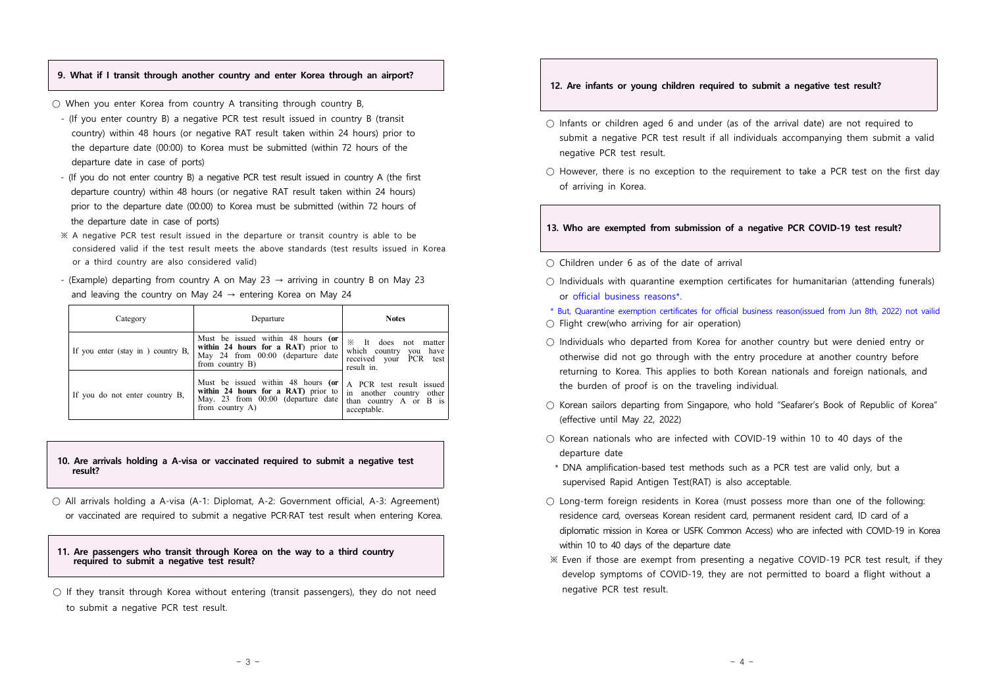#### **9. What if I transit through another country and enter Korea through an airport?**

 $\circ$  When you enter Korea from country A transiting through country B,<br>- (If you enter country B) a negative PCR test result issued in country B (transit

- country) within 48 hours (or negative RAT result taken within 24 hours) prior to the departure date (00:00) to Korea must be submitted (within 72 hours of the departure date in case of ports)
- (If you do not enter country B) a negative PCR test result issued in country A (the first departure country) within 48 hours (or negative RAT result taken within 24 hours) prior to the departure date (00:00) to Korea must be submitted (within 72 hours of the departure date in case of ports)
- ※ A negative PCR test result issued in the departure or transit country is able to be considered valid if the test result meets the above standards (test results issued in Korea or a third country are also considered valid)
- (Example) departing from country A on May 23  $\rightarrow$  arriving in country B on May 23 and leaving the country on May 24  $\rightarrow$  entering Korea on May 24

| Category                          | Departure                                                                                                                          | <b>Notes</b>                                                                                  |
|-----------------------------------|------------------------------------------------------------------------------------------------------------------------------------|-----------------------------------------------------------------------------------------------|
| If you enter (stay in) country B, | Must be issued within 48 hours (or<br>within 24 hours for a RAT) prior to<br>May 24 from 00:00 (departure date<br>from country B)  | ⋇<br>It does not matter<br>which country you have<br>received your PCR test<br>result in.     |
| If you do not enter country B,    | Must be issued within 48 hours (or<br>within 24 hours for a RAT) prior to<br>May. 23 from 00:00 (departure date<br>from country A) | A PCR test result issued<br>in another country other<br>than country A or B is<br>acceptable. |

#### **10. Are arrivals holding a A-visa or vaccinated required to submit a negative test result?**

○ All arrivals holding a A-visa (A-1: Diplomat, A-2: Government official, A-3: Agreement) or vaccinated are required to submit a negative PCR·RAT test result when entering Korea.

#### **11. Are passengers who transit through Korea on the way to a third country required to submit a negative test result?**

 $\bigcirc$  If they transit through Korea without entering (transit passengers), they do not need to submit a negative PCR test result.

#### **12. Are infants or young children required to submit a negative test result?**

- $\bigcirc$  Infants or children aged 6 and under (as of the arrival date) are not required to submit a negative PCR test result if all individuals accompanying them submit a valid negative PCR test result.
- $\bigcirc$  However, there is no exception to the requirement to take a PCR test on the first day of arriving in Korea.

#### **13. Who are exempted from submission of a negative PCR COVID-19 test result?**

- $\bigcirc$  Children under 6 as of the date of arrival
- Individuals with quarantine exemption certificates for humanitarian (attending funerals)<br>or official business reasons\*.<br>\* But, Quarantine exemption certificates for official business reason(issued from Jun 8th, 2022) no

- $\bigcirc$  Flight crew(who arriving for air operation)
- $\circ$  Individuals who departed from Korea for another country but were denied entry or otherwise did not go through with the entry procedure at another country before returning to Korea. This applies to both Korean nationals and foreign nationals, and the burden of proof is on the traveling individual.
- Korean sailors departing from Singapore, who hold "Seafarer's Book of Republic of Korea" (effective until May 22, 2022)
- $\bigcirc$  Korean nationals who are infected with COVID-19 within 10 to 40 days of the departure date
- \* DNA amplification-based test methods such as a PCR test are valid only, but a supervised Rapid Antigen Test(RAT) is also acceptable.
- Long-term foreign residents in Korea (must possess more than one of the following: residence card, overseas Korean resident card, permanent resident card, ID card of a diplomatic mission in Korea or USFK Common Access) who are infected with COVID-19 in Korea within 10 to 40 days of the departure date
- ※ Even if those are exempt from presenting a negative COVID-19 PCR test result, if they develop symptoms of COVID-19, they are not permitted to board a flight without a negative PCR test result.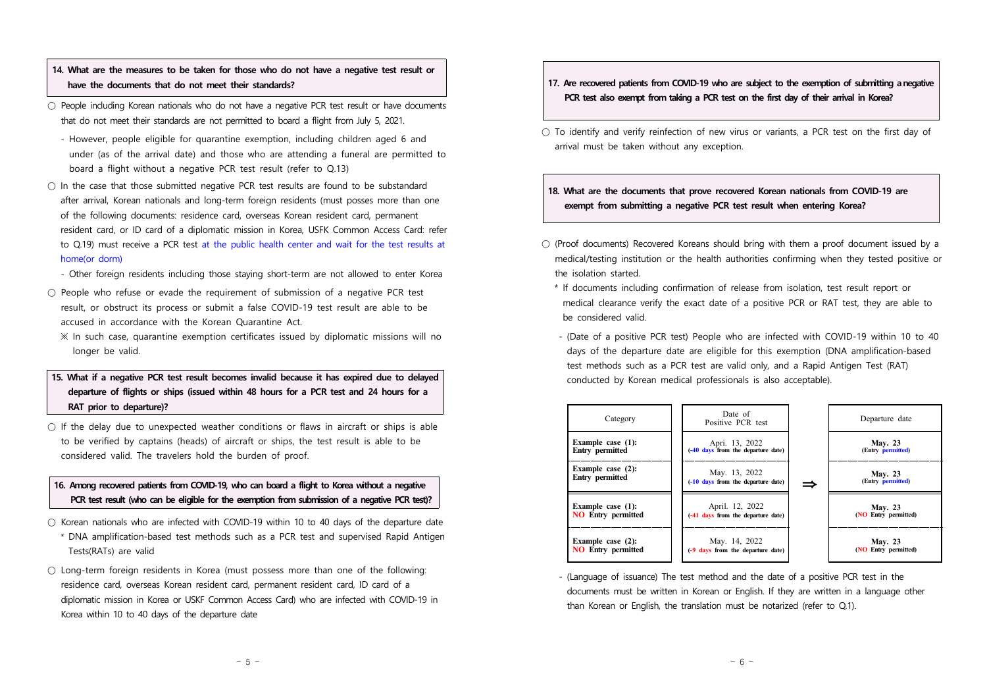# **14. What are the measures to be taken for those who do not have a negative test result or have the documents that do not meet their standards?**

- People including Korean nationals who do not have a negative PCR test result or have documents that do not meet their standards are not permitted to board a flight from July 5, 2021.<br>- However, people eligible for quarantine exemption, including children aged 6 and
	- under (as of the arrival date) and those who are attending a funeral are permitted to board a flight without a negative PCR test result (refer to Q.13)
- $\bigcirc$  In the case that those submitted negative PCR test results are found to be substandard after arrival, Korean nationals and long-term foreign residents (must posses more than one of the following documents: residence card, overseas Korean resident card, permanent resident card, or ID card of a diplomatic mission in Korea, USFK Common Access Card: refer to Q.19) must receive a PCR test at the public health center and wait for the test results at home(or dorm)<br>- Other foreign residents including those staying short-term are not allowed to enter Korea
	-
- $\bigcirc$  People who refuse or evade the requirement of submission of a negative PCR test result, or obstruct its process or submit a false COVID-19 test result are able to be accused in accordance with the Korean Quarantine Act.<br>
※ In such case, quarantine exemption certificates issued by diplomatic missions will no
	- longer be valid.

# **15. What if a negative PCR test result becomes invalid because it has expired due to delayed departure of flights or ships (issued within 48 hours for a PCR test and 24 hours for a RAT prior to departure)?**

 $\bigcirc$  If the delay due to unexpected weather conditions or flaws in aircraft or ships is able to be verified by captains (heads) of aircraft or ships, the test result is able to be considered valid. The travelers hold the burden of proof.

## **16. Among recovered patients from COVID-19, who can board a flight to Korea without a negative PCR test result (who can be eligible for the exemption from submission of a negative PCR test)?**

- $\bigcirc$  Korean nationals who are infected with COVID-19 within 10 to 40 days of the departure date \* DNA amplification-based test methods such as a PCR test and supervised Rapid Antigen Tests(RATs) are valid
- $\bigcirc$  Long-term foreign residents in Korea (must possess more than one of the following: residence card, overseas Korean resident card, permanent resident card, ID card of a diplomatic mission in Korea or USKF Common Access Card) who are infected with COVID-19 in Korea within 10 to 40 days of the departure date

## **17. Are recovered patients from COVID-19 who are subject to the exemption of submitting anegative PCR test also exempt from taking a PCR test on the first day of their arrival in Korea?**

 $\bigcirc$  To identify and verify reinfection of new virus or variants, a PCR test on the first day of arrival must be taken without any exception.

# **18. What are the documents that prove recovered Korean nationals from COVID-19 are exempt from submitting a negative PCR test result when entering Korea?**

- (Proof documents) Recovered Koreans should bring with them a proof document issued by a medical/testing institution or the health authorities confirming when they tested positive or
	- the isolation started. \* If documents including confirmation of release from isolation, test result report or medical clearance verify the exact date of a positive PCR or RAT test, they are able to be considered valid.<br>- (Date of a positive PCR test) People who are infected with COVID-19 within 10 to 40
	- days of the departure date are eligible for this exemption (DNA amplification-based test methods such as a PCR test are valid only, and a Rapid Antigen Test (RAT) conducted by Korean medical professionals is also acceptable).



 - (Language of issuance) The test method and the date of a positive PCR test in the documents must be written in Korean or English. If they are written in a language other than Korean or English, the translation must be notarized (refer to Q.1).